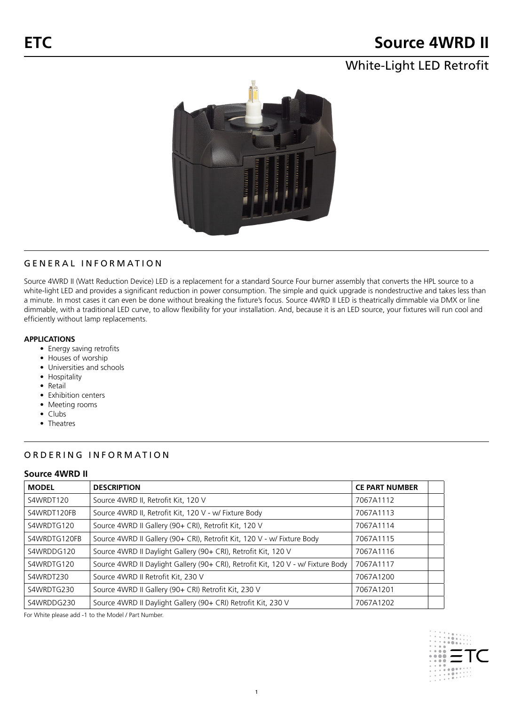# **Source 4WRD II**

## White-Light LED Retrofit



## GENERAL INFORMATION

Source 4WRD II (Watt Reduction Device) LED is a replacement for a standard Source Four burner assembly that converts the HPL source to a white-light LED and provides a significant reduction in power consumption. The simple and quick upgrade is nondestructive and takes less than a minute. In most cases it can even be done without breaking the fixture's focus. Source 4WRD II LED is theatrically dimmable via DMX or line dimmable, with a traditional LED curve, to allow flexibility for your installation. And, because it is an LED source, your fixtures will run cool and efficiently without lamp replacements.

#### **APPLICATIONS**

- Energy saving retrofits
- Houses of worship
- Universities and schools
- Hospitality
- Retail
- Exhibition centers
- Meeting rooms
- Clubs
- Theatres

## ORDERING INFORMATION

#### **Source 4WRD II**

| <b>MODEL</b> | <b>DESCRIPTION</b>                                                               | <b>CE PART NUMBER</b> |  |
|--------------|----------------------------------------------------------------------------------|-----------------------|--|
| S4WRDT120    | Source 4WRD II, Retrofit Kit, 120 V                                              | 7067A1112             |  |
| S4WRDT120FB  | Source 4WRD II, Retrofit Kit, 120 V - w/ Fixture Body                            | 7067A1113             |  |
| S4WRDTG120   | Source 4WRD II Gallery (90+ CRI), Retrofit Kit, 120 V                            | 7067A1114             |  |
| S4WRDTG120FB | Source 4WRD II Gallery (90+ CRI), Retrofit Kit, 120 V - w/ Fixture Body          | 7067A1115             |  |
| S4WRDDG120   | Source 4WRD II Daylight Gallery (90+ CRI), Retrofit Kit, 120 V                   | 7067A1116             |  |
| S4WRDTG120   | Source 4WRD II Daylight Gallery (90+ CRI), Retrofit Kit, 120 V - w/ Fixture Body | 7067A1117             |  |
| S4WRDT230    | Source 4WRD II Retrofit Kit, 230 V                                               | 7067A1200             |  |
| S4WRDTG230   | Source 4WRD II Gallery (90+ CRI) Retrofit Kit, 230 V                             | 7067A1201             |  |
| S4WRDDG230   | Source 4WRD II Daylight Gallery (90+ CRI) Retrofit Kit, 230 V                    | 7067A1202             |  |

For White please add -1 to the Model / Part Number.

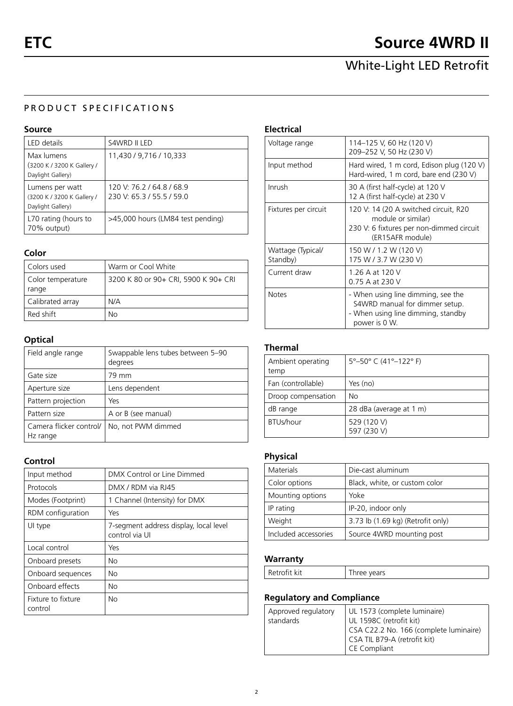## PRODUCT SPECIFICATIONS

#### **Source**

| LED details                                                        | S4WRD II LED                                           |
|--------------------------------------------------------------------|--------------------------------------------------------|
| Max lumens<br>(3200 K / 3200 K Gallery /<br>Daylight Gallery)      | 11,430 / 9,716 / 10,333                                |
| Lumens per watt<br>(3200 K / 3200 K Gallery /<br>Daylight Gallery) | 120 V: 76.2 / 64.8 / 68.9<br>230 V: 65.3 / 55.5 / 59.0 |
| L70 rating (hours to<br>70% output)                                | >45,000 hours (LM84 test pending)                      |

#### **Color**

| Colors used                | Warm or Cool White                   |  |  |
|----------------------------|--------------------------------------|--|--|
| Color temperature<br>range | 3200 K 80 or 90+ CRI, 5900 K 90+ CRI |  |  |
| Calibrated array           | N/A                                  |  |  |
| Red shift                  | No                                   |  |  |

## **Optical**

| Field angle range                   | Swappable lens tubes between 5-90<br>degrees |  |  |
|-------------------------------------|----------------------------------------------|--|--|
| Gate size                           | 79 mm                                        |  |  |
| Aperture size                       | Lens dependent                               |  |  |
| Pattern projection                  | Yes                                          |  |  |
| Pattern size                        | A or B (see manual)                          |  |  |
| Camera flicker control/<br>Hz range | No, not PWM dimmed                           |  |  |

### **Control**

| Input method                  | DMX Control or Line Dimmed                               |  |  |
|-------------------------------|----------------------------------------------------------|--|--|
| Protocols                     | DMX / RDM via RJ45                                       |  |  |
| Modes (Footprint)             | 1 Channel (Intensity) for DMX                            |  |  |
| RDM configuration             | Yes                                                      |  |  |
| UI type                       | 7-segment address display, local level<br>control via UI |  |  |
| Local control                 | Yes                                                      |  |  |
| Onboard presets               | No                                                       |  |  |
| Onboard sequences             | No                                                       |  |  |
| Onboard effects               | No                                                       |  |  |
| Fixture to fixture<br>control | No                                                       |  |  |

## **Electrical**

| Voltage range                 | 114-125 V, 60 Hz (120 V)<br>209-252 V, 50 Hz (230 V)                                                                        |
|-------------------------------|-----------------------------------------------------------------------------------------------------------------------------|
| Input method                  | Hard wired, 1 m cord, Edison plug (120 V)<br>Hard-wired, 1 m cord, bare end (230 V)                                         |
| Inrush                        | 30 A (first half-cycle) at 120 V<br>12 A (first half-cycle) at 230 V                                                        |
| Fixtures per circuit          | 120 V: 14 (20 A switched circuit, R20<br>module or similar)<br>230 V: 6 fixtures per non-dimmed circuit<br>(ER15AFR module) |
| Wattage (Typical/<br>Standby) | 150 W / 1.2 W (120 V)<br>175 W / 3.7 W (230 V)                                                                              |
| Current draw                  | 1.26 A at 120 V<br>0.75 A at 230 V                                                                                          |
| <b>Notes</b>                  | - When using line dimming, see the<br>S4WRD manual for dimmer setup.<br>- When using line dimming, standby<br>power is 0 W. |

### **Thermal**

| Ambient operating<br>temp | 5°-50° C (41°-122° F)      |
|---------------------------|----------------------------|
| Fan (controllable)        | Yes (no)                   |
| Droop compensation        | No                         |
| dB range                  | 28 dBa (average at 1 m)    |
| BTUs/hour                 | 529 (120 V)<br>597 (230 V) |

## **Physical**

| Materials            | Die-cast aluminum                 |  |  |
|----------------------|-----------------------------------|--|--|
| Color options        | Black, white, or custom color     |  |  |
| Mounting options     | Yoke                              |  |  |
| IP rating            | IP-20, indoor only                |  |  |
| Weight               | 3.73 lb (1.69 kg) (Retrofit only) |  |  |
| Included accessories | Source 4WRD mounting post         |  |  |

## **Warranty**

| $1/1+$  | years |
|---------|-------|
| k ATITO | .     |

## **Regulatory and Compliance**

| Approved regulatory<br>standards | UL 1573 (complete luminaire)<br>UL 1598C (retrofit kit)<br>CSA C22.2 No. 166 (complete luminaire)<br>  CSA TIL B79-A (retrofit kit)<br><sup>I</sup> CE Compliant |
|----------------------------------|------------------------------------------------------------------------------------------------------------------------------------------------------------------|
|----------------------------------|------------------------------------------------------------------------------------------------------------------------------------------------------------------|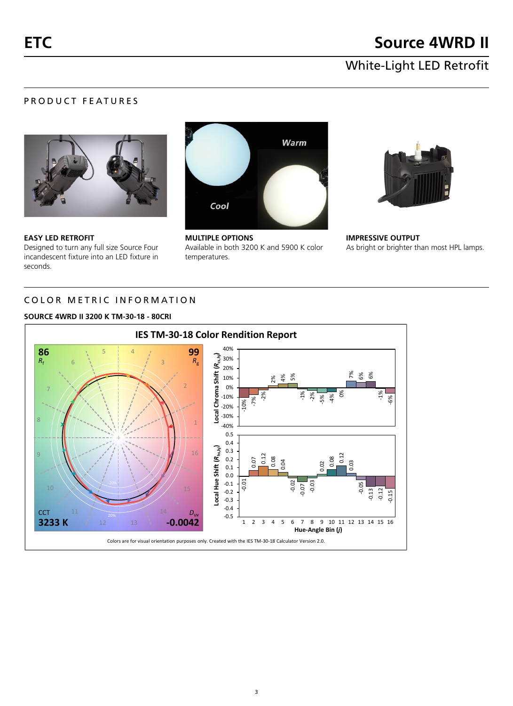## PRODUCT FEATURES



**EASY LED RETROFIT** Designed to turn any full size Source Four incandescent fixture into an LED fixture in seconds.



**MULTIPLE OPTIONS** Available in both 3200 K and 5900 K color temperatures.



**IMPRESSIVE OUTPUT** As bright or brighter than most HPL lamps.

## COLOR METRIC INFORMATION

#### **SOURCE 4WRD II 3200 K TM-30-18 - 80CRI**

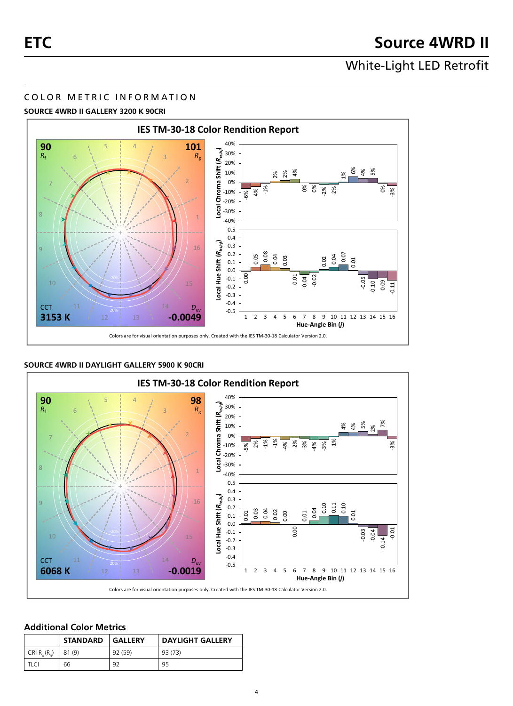### COLOR METRIC INFORMATION

#### **SOURCE 4WRD II GALLERY 3200 K 90CRI**



#### **SOURCE 4WRD II DAYLIGHT GALLERY 5900 K 90CRI**



#### **Additional Color Metrics**

|                | STANDARD   GALLERY |         | <b>DAYLIGHT GALLERY</b> |
|----------------|--------------------|---------|-------------------------|
| CRI $R_5(R_0)$ | 81 (9)             | 92 (59) | 93 (73)                 |
| TI CI          | 66                 | 92      | 95                      |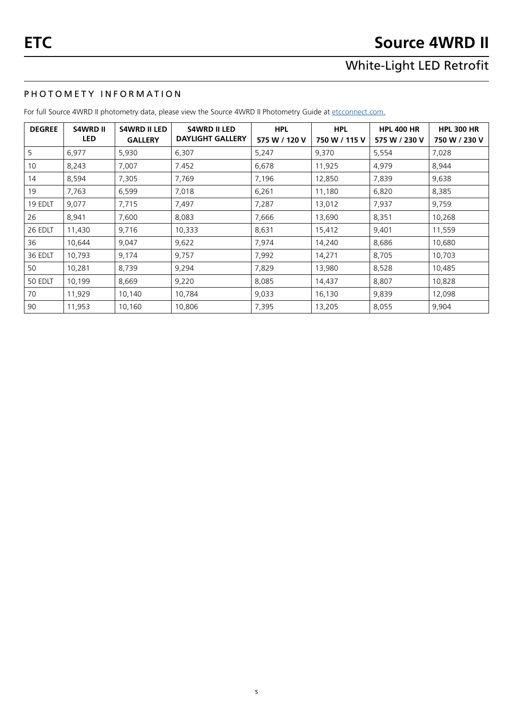## PHOTOMETY INFORMATION

For full Source 4WRD II photometry data, please view the Source 4WRD II Photometry Guide at [etcconnect.com](http://www.etcconnect.com/Products/Lighting-Fixtures/S4WRD/Documentation.aspx).

| <b>DEGREE</b> | <b>S4WRD II</b> | <b>S4WRD II LED</b> | <b>S4WRD II LED</b>     | <b>HPL</b>    | <b>HPL</b>    | <b>HPL 400 HR</b> | <b>HPL 300 HR</b> |
|---------------|-----------------|---------------------|-------------------------|---------------|---------------|-------------------|-------------------|
|               | <b>LED</b>      | <b>GALLERY</b>      | <b>DAYLIGHT GALLERY</b> | 575 W / 120 V | 750 W / 115 V | 575 W / 230 V     | 750 W / 230 V     |
| 5             | 6,977           | 5,930               | 6.307                   | 5,247         | 9,370         | 5,554             | 7,028             |
| 10            | 8,243           | 7,007               | 7.452                   | 6,678         | 11,925        | 4,979             | 8,944             |
| 14            | 8,594           | 7,305               | 7,769                   | 7,196         | 12,850        | 7,839             | 9,638             |
| 19            | 7,763           | 6,599               | 7,018                   | 6,261         | 11,180        | 6,820             | 8,385             |
| 19 EDLT       | 9,077           | 7,715               | 7,497                   | 7,287         | 13,012        | 7,937             | 9,759             |
| 26            | 8,941           | 7,600               | 8,083                   | 7,666         | 13,690        | 8,351             | 10,268            |
| 26 EDLT       | 11,430          | 9,716               | 10,333                  | 8,631         | 15,412        | 9,401             | 11,559            |
| 36            | 10,644          | 9,047               | 9,622                   | 7,974         | 14,240        | 8,686             | 10,680            |
| 36 EDLT       | 10,793          | 9,174               | 9,757                   | 7,992         | 14,271        | 8,705             | 10,703            |
| 50            | 10,281          | 8,739               | 9,294                   | 7,829         | 13,980        | 8,528             | 10,485            |
| 50 EDLT       | 10,199          | 8,669               | 9,220                   | 8,085         | 14,437        | 8,807             | 10,828            |
| 70            | 11,929          | 10,140              | 10,784                  | 9,033         | 16,130        | 9,839             | 12,098            |
| 90            | 11,953          | 10,160              | 10,806                  | 7,395         | 13,205        | 8,055             | 9,904             |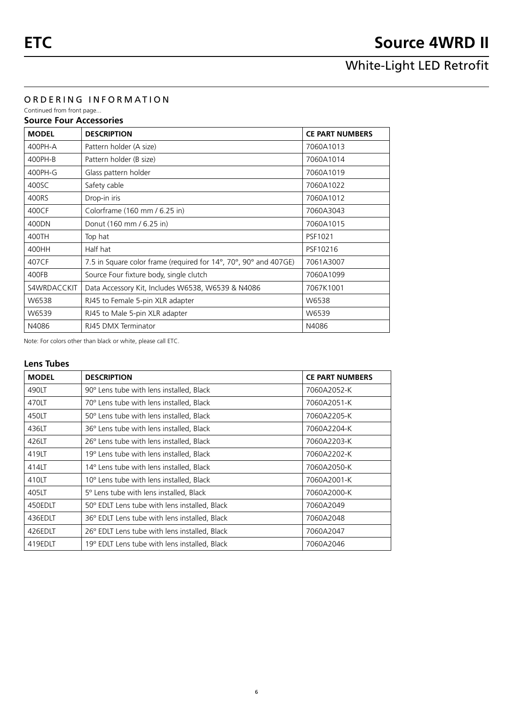#### ORDERING INFORMATION

Continued from front page... **Source Four Accessories**

## **MODEL DESCRIPTION CE PART NUMBERS** 400PH-A Pattern holder (A size) 2060A1013 400PH-B Pattern holder (B size) 2060A1014 400PH-G Glass pattern holder 7060A1019 400SC Safety cable 30 Safety cable 30 Services 2010 1060A1022 400RS Drop-in iris 7060A1012 400CF Colorframe (160 mm / 6.25 in) 7060A3043 400DN Donut (160 mm / 6.25 in) 7060A1015 400TH Top hat PSF1021 400HH Half hat PSF10216 407CF  $\vert$  7.5 in Square color frame (required for 14°, 70°, 90° and 407GE)  $\vert$  7061A3007 400FB Source Four fixture body, single clutch 7060A1099 S4WRDACCKIT | Data Accessory Kit, Includes W6538, W6539 & N4086 | 7067K1001  $W6538$  RJ45 to Female 5-pin XLR adapter W6538  $W6539$  RJ45 to Male 5-pin XLR adapter New York 2011 NV6539 N4086 RJ45 DMX Terminator N4086

Note: For colors other than black or white, please call ETC.

### **Lens Tubes**

| <b>MODEL</b> | <b>DESCRIPTION</b>                            | <b>CE PART NUMBERS</b> |
|--------------|-----------------------------------------------|------------------------|
| 490LT        | 90° Lens tube with lens installed, Black      | 7060A2052-K            |
| 470LT        | 70° Lens tube with lens installed, Black      | 7060A2051-K            |
| 450LT        | 50° Lens tube with lens installed, Black      | 7060A2205-K            |
| 436LT        | 36° Lens tube with lens installed, Black      | 7060A2204-K            |
| 426LT        | 26° Lens tube with lens installed, Black      | 7060A2203-K            |
| 419LT        | 19° Lens tube with lens installed, Black      | 7060A2202-K            |
| 414LT        | 14° Lens tube with lens installed, Black      | 7060A2050-K            |
| 410LT        | 10° Lens tube with lens installed, Black      | 7060A2001-K            |
| 405LT        | 5° Lens tube with lens installed, Black       | 7060A2000-K            |
| 450EDLT      | 50° EDLT Lens tube with lens installed, Black | 7060A2049              |
| 436EDLT      | 36° EDLT Lens tube with lens installed, Black | 7060A2048              |
| 426EDLT      | 26° EDLT Lens tube with lens installed, Black | 7060A2047              |
| 419EDLT      | 19° EDLT Lens tube with lens installed, Black | 7060A2046              |